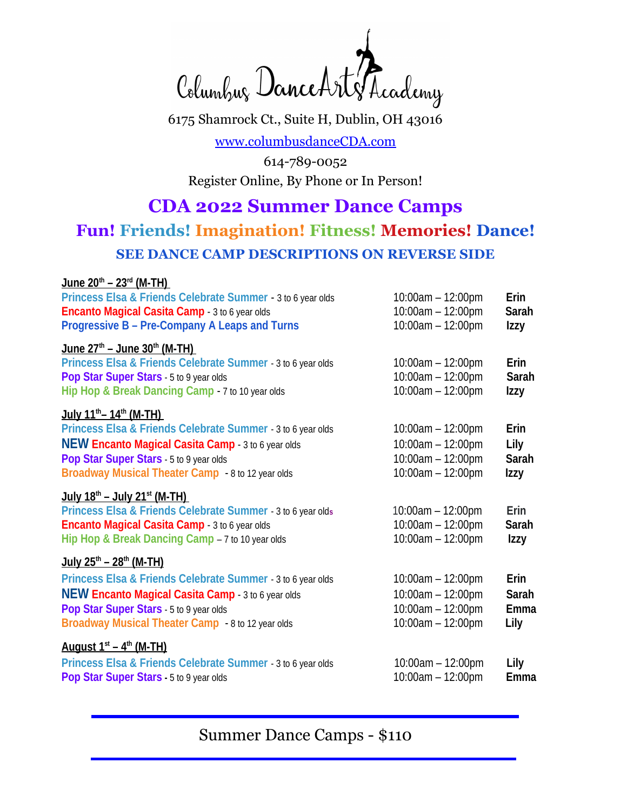Columbur DanceArt Trademy

6175 Shamrock Ct., Suite H, Dublin, OH 43016

[www.columbusdanceCDA.com](http://www.columbusdanceCDA.com/)

614-789-0052 Register Online, By Phone or In Person!

# **CDA 2022 Summer Dance Camps**

# **Fun! Friends! Imagination! Fitness! Memories! Dance! SEE DANCE CAMP DESCRIPTIONS ON REVERSE SIDE**

#### **June 20th – 23rd (M-TH)**

| Princess Elsa & Friends Celebrate Summer - 3 to 6 year olds<br><b>Encanto Magical Casita Camp</b> - 3 to 6 year olds<br><b>Progressive B - Pre-Company A Leaps and Turns</b>                                                                                                | 10:00am - 12:00pm<br>$10:00am - 12:00pm$<br>10:00am - 12:00pm                            | Erin<br><b>Sarah</b><br>Izzy                       |
|-----------------------------------------------------------------------------------------------------------------------------------------------------------------------------------------------------------------------------------------------------------------------------|------------------------------------------------------------------------------------------|----------------------------------------------------|
| $June 27th - June 30th (M-TH)$<br>Princess Elsa & Friends Celebrate Summer - 3 to 6 year olds<br>Pop Star Super Stars - 5 to 9 year olds<br>Hip Hop & Break Dancing Camp - 7 to 10 year olds                                                                                | $10:00$ am $- 12:00$ pm<br>10:00am - 12:00pm<br>10:00am - 12:00pm                        | Erin<br><b>Sarah</b><br><b>Izzy</b>                |
| July 11 <sup>th</sup> - 14 <sup>th</sup> (M-TH)<br>Princess Elsa & Friends Celebrate Summer - 3 to 6 year olds<br><b>NEW Encanto Magical Casita Camp - 3 to 6 year olds</b><br>Pop Star Super Stars - 5 to 9 year olds<br>Broadway Musical Theater Camp - 8 to 12 year olds | 10:00am - 12:00pm<br>$10:00am - 12:00pm$<br>10:00am - 12:00pm<br>10:00am - 12:00pm       | <b>Erin</b><br>Lily<br><b>Sarah</b><br><b>Izzy</b> |
| $July 18th - July 21st (M-TH)$<br>Princess Elsa & Friends Celebrate Summer - 3 to 6 year olds<br><b>Encanto Magical Casita Camp - 3 to 6 year olds</b><br>Hip Hop & Break Dancing Camp - 7 to 10 year olds                                                                  | $10:00am - 12:00pm$<br>$10:00am - 12:00pm$<br>10:00am - 12:00pm                          | Erin<br><b>Sarah</b><br>Izzy                       |
| $July 25th - 28th (M-TH)$<br>Princess Elsa & Friends Celebrate Summer - 3 to 6 year olds<br><b>NEW Encanto Magical Casita Camp - 3 to 6 year olds</b><br>Pop Star Super Stars - 5 to 9 year olds<br>Broadway Musical Theater Camp - 8 to 12 year olds                       | $10:00$ am $- 12:00$ pm<br>$10:00am - 12:00pm$<br>10:00am - 12:00pm<br>10:00am - 12:00pm | Erin<br><b>Sarah</b><br>Emma<br>Lily               |
| August $1st - 4th$ (M-TH)<br>Princess Elsa & Friends Celebrate Summer - 3 to 6 year olds<br>Pop Star Super Stars - 5 to 9 year olds                                                                                                                                         | $10:00am - 12:00pm$<br>$10:00am - 12:00pm$                                               | Lily<br>Emma                                       |

Summer Dance Camps - \$110